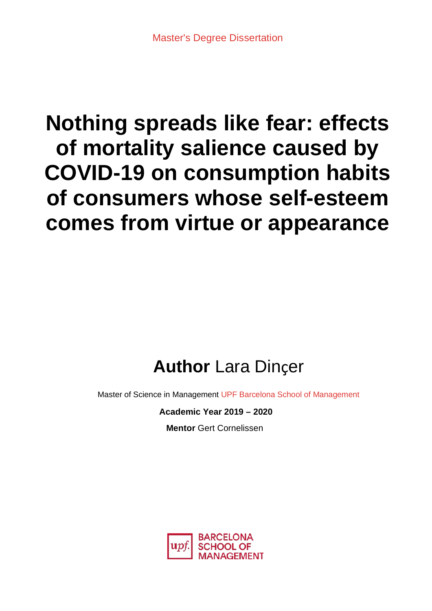# **Nothing spreads like fear: effects of mortality salience caused by COVID-19 on consumption habits of consumers whose self-esteem comes from virtue or appearance**

## **Author** Lara Dinçer

Master of Science in Management UPF Barcelona School of Management

**Academic Year 2019 – 2020**

**Mentor** Gert Cornelissen

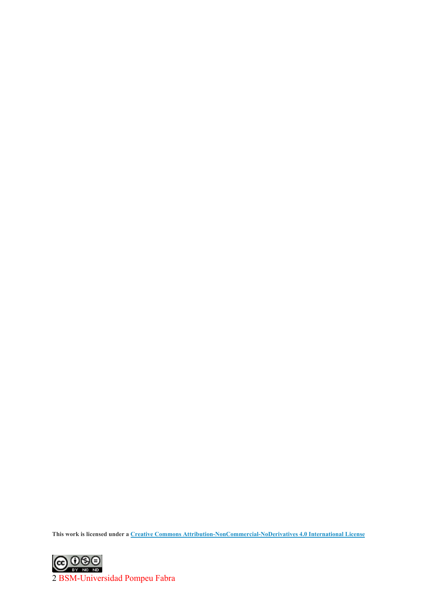**This work is licensed under a Creative Commons [Attribution-NonCommercial-NoDerivatives](https://creativecommons.org/licenses/by-nc-nd/4.0/) 4.0 International License**

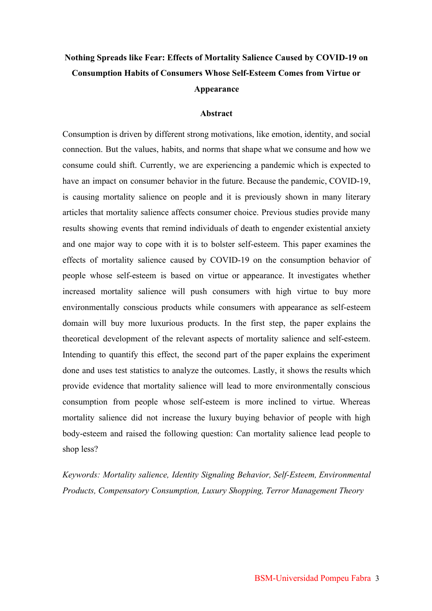## **Nothing Spreads like Fear: Effects of Mortality Salience Caused by COVID-19 on Consumption Habits of Consumers Whose Self-Esteem Comes from Virtue or Appearance**

#### **Abstract**

Consumption is driven by different strong motivations, like emotion, identity, and social connection. But the values, habits, and norms that shape what we consume and how we consume could shift. Currently, we are experiencing a pandemic which is expected to have an impact on consumer behavior in the future. Because the pandemic, COVID-19, is causing mortality salience on people and it is previously shown in many literary articles that mortality salience affects consumer choice. Previous studies provide many results showing events that remind individuals of death to engender existential anxiety and one major way to cope with it is to bolster self-esteem. This paper examines the effects of mortality salience caused by COVID-19 on the consumption behavior of people whose self-esteem is based on virtue or appearance. It investigates whether increased mortality salience will push consumers with high virtue to buy more environmentally conscious products while consumers with appearance as self-esteem domain will buy more luxurious products. In the first step, the paper explains the theoretical development of the relevant aspects of mortality salience and self-esteem. Intending to quantify this effect, the second part of the paper explains the experiment done and uses test statistics to analyze the outcomes. Lastly, it shows the results which provide evidence that mortality salience will lead to more environmentally conscious consumption from people whose self-esteem is more inclined to virtue. Whereas mortality salience did not increase the luxury buying behavior of people with high body-esteem and raised the following question: Can mortality salience lead people to shop less?

*Keywords: Mortality salience, Identity Signaling Behavior, Self-Esteem, Environmental Products, Compensatory Consumption, Luxury Shopping, Terror Management Theory*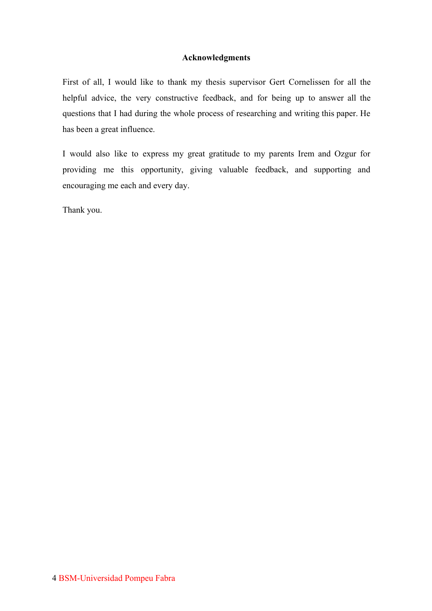#### **Acknowledgments**

First of all, I would like to thank my thesis supervisor Gert Cornelissen for all the helpful advice, the very constructive feedback, and for being up to answer all the questions that I had during the whole process of researching and writing this paper. He has been a great influence.

I would also like to express my great gratitude to my parents Irem and Ozgur for providing me this opportunity, giving valuable feedback, and supporting and encouraging me each and every day.

Thank you.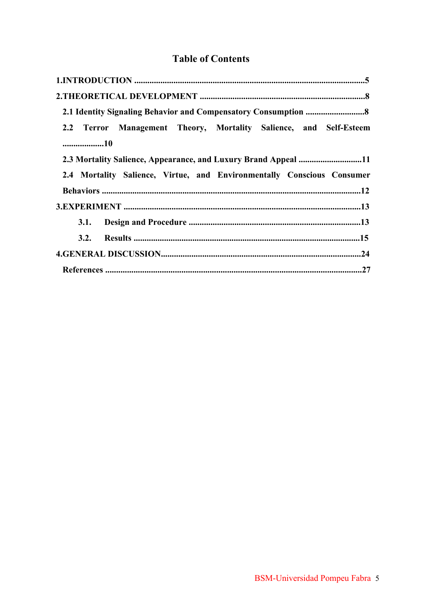## **Table of Contents**

| 2.2 Terror Management Theory, Mortality Salience, and Self-Esteem      |
|------------------------------------------------------------------------|
| 10                                                                     |
|                                                                        |
| 2.4 Mortality Salience, Virtue, and Environmentally Conscious Consumer |
|                                                                        |
|                                                                        |
|                                                                        |
|                                                                        |
|                                                                        |
|                                                                        |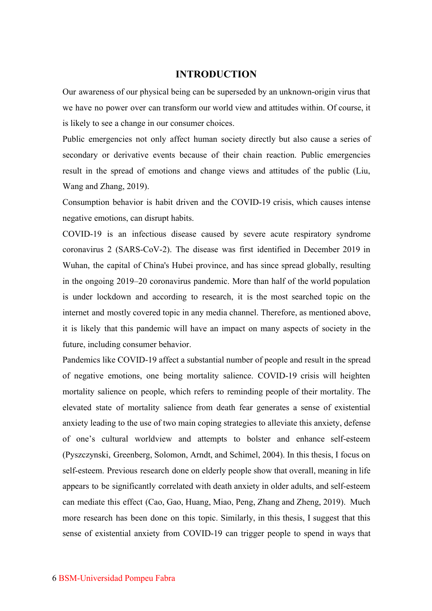#### **INTRODUCTION**

Our awareness of our physical being can be superseded by an unknown-origin virus that we have no power over can transform our world view and attitudes within. Of course, it is likely to see a change in our consumer choices.

Public emergencies not only affect human society directly but also cause a series of secondary or derivative events because of their chain reaction. Public emergencies result in the spread of emotions and change views and attitudes of the public (Liu, Wang and Zhang, 2019).

Consumption behavior is habit driven and the COVID-19 crisis, which causes intense negative emotions, can disrupt habits.

COVID-19 is an infectious disease caused by severe acute respiratory syndrome coronavirus 2 (SARS-CoV-2). The disease was first identified in December 2019 in Wuhan, the capital of China's Hubei province, and has since spread globally, resulting in the ongoing 2019–20 coronavirus pandemic. More than half of the world population is under lockdown and according to research, it is the most searched topic on the internet and mostly covered topic in any media channel. Therefore, as mentioned above, it is likely that this pandemic will have an impact on many aspects of society in the future, including consumer behavior.

Pandemics like COVID-19 affect a substantial number of people and result in the spread of negative emotions, one being mortality salience. COVID-19 crisis will heighten mortality salience on people, which refers to reminding people of their mortality. The elevated state of mortality salience from death fear generates a sense of existential anxiety leading to the use of two main coping strategies to alleviate this anxiety, defense of one's cultural worldview and attempts to bolster and enhance self-esteem (Pyszczynski, Greenberg, Solomon, Arndt, and Schimel, 2004). In this thesis, I focus on self-esteem. Previous research done on elderly people show that overall, meaning in life appears to be significantly correlated with death anxiety in older adults, and self-esteem can mediate this effect (Cao, Gao, Huang, Miao, Peng, Zhang and Zheng, 2019). Much more research has been done on this topic. Similarly, in this thesis, I suggest that this sense of existential anxiety from COVID-19 can trigger people to spend in ways that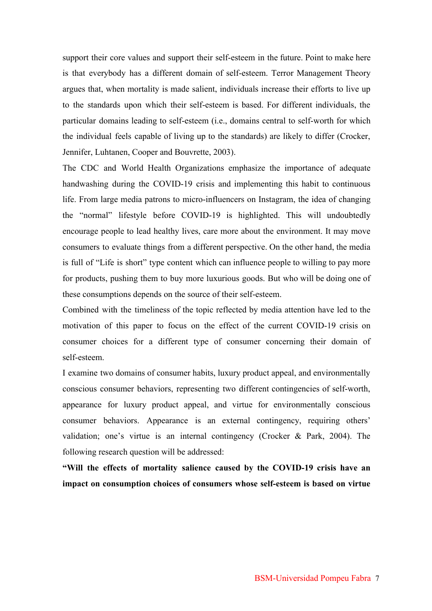support their core values and support their self-esteem in the future. Point to make here is that everybody has a different domain of self-esteem. Terror Management Theory argues that, when mortality is made salient, individuals increase their efforts to live up to the standards upon which their self-esteem is based. For different individuals, the particular domains leading to self-esteem (i.e., domains central to self-worth for which the individual feels capable of living up to the standards) are likely to differ (Crocker, Jennifer, Luhtanen, Cooper and Bouvrette, 2003).

The CDC and World Health Organizations emphasize the importance of adequate handwashing during the COVID-19 crisis and implementing this habit to continuous life. From large media patrons to micro-influencers on Instagram, the idea of changing the "normal" lifestyle before COVID-19 is highlighted. This will undoubtedly encourage people to lead healthy lives, care more about the environment. It may move consumers to evaluate things from a different perspective. On the other hand, the media is full of "Life is short" type content which can influence people to willing to pay more for products, pushing them to buy more luxurious goods. But who will be doing one of these consumptions depends on the source of their self-esteem.

Combined with the timeliness of the topic reflected by media attention have led to the motivation of this paper to focus on the effect of the current COVID-19 crisis on consumer choices for a different type of consumer concerning their domain of self-esteem.

I examine two domains of consumer habits, luxury product appeal, and environmentally conscious consumer behaviors, representing two different contingencies of self-worth, appearance for luxury product appeal, and virtue for environmentally conscious consumer behaviors. Appearance is an external contingency, requiring others' validation; one's virtue is an internal contingency (Crocker & Park, 2004). The following research question will be addressed:

**"Will the effects of mortality salience caused by the COVID-19 crisis have an impact on consumption choices of consumers whose self-esteem is based on virtue**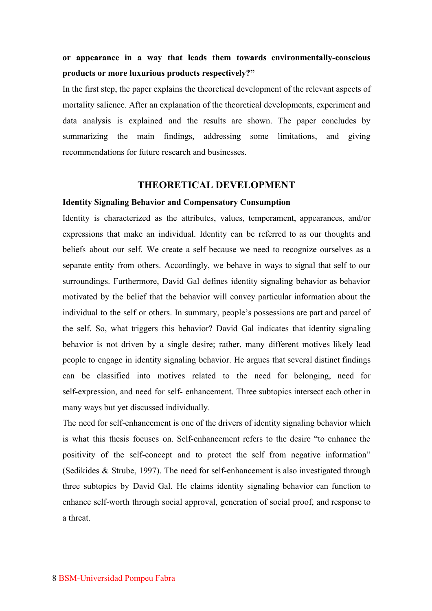## **or appearance in a way that leads them towards environmentally-conscious products or more luxurious products respectively?"**

In the first step, the paper explains the theoretical development of the relevant aspects of mortality salience. After an explanation of the theoretical developments, experiment and data analysis is explained and the results are shown. The paper concludes by summarizing the main findings, addressing some limitations, and giving recommendations for future research and businesses.

#### **THEORETICAL DEVELOPMENT**

#### **Identity Signaling Behavior and Compensatory Consumption**

Identity is characterized as the attributes, values, temperament, appearances, and/or expressions that make an individual. Identity can be referred to as our thoughts and beliefs about our self. We create a self because we need to recognize ourselves as a separate entity from others. Accordingly, we behave in ways to signal that self to our surroundings. Furthermore, David Gal defines identity signaling behavior as behavior motivated by the belief that the behavior will convey particular information about the individual to the self or others. In summary, people's possessions are part and parcel of the self. So, what triggers this behavior? David Gal indicates that identity signaling behavior is not driven by a single desire; rather, many different motives likely lead people to engage in identity signaling behavior. He argues that several distinct findings can be classified into motives related to the need for belonging, need for self-expression, and need for self- enhancement. Three subtopics intersect each other in many ways but yet discussed individually.

The need for self-enhancement is one of the drivers of identity signaling behavior which is what this thesis focuses on. Self-enhancement refers to the desire "to enhance the positivity of the self-concept and to protect the self from negative information" (Sedikides & Strube, 1997). The need for self-enhancement is also investigated through three subtopics by David Gal. He claims identity signaling behavior can function to enhance self-worth through social approval, generation of social proof, and response to a threat.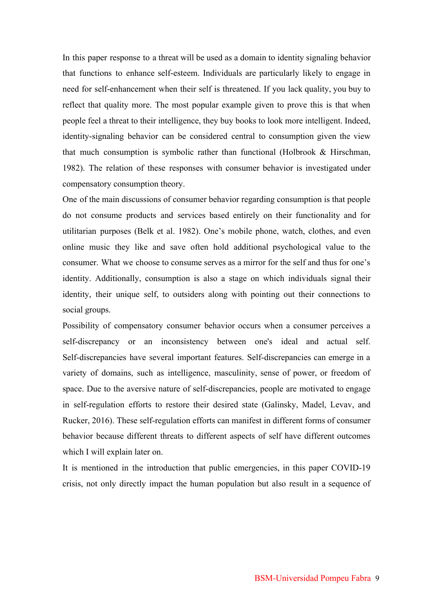In this paper response to a threat will be used as a domain to identity signaling behavior that functions to enhance self-esteem. Individuals are particularly likely to engage in need for self-enhancement when their self is threatened. If you lack quality, you buy to reflect that quality more. The most popular example given to prove this is that when people feel a threat to their intelligence, they buy books to look more intelligent. Indeed, identity-signaling behavior can be considered central to consumption given the view that much consumption is symbolic rather than functional (Holbrook & Hirschman, 1982). The relation of these responses with consumer behavior is investigated under compensatory consumption theory.

One of the main discussions of consumer behavior regarding consumption is that people do not consume products and services based entirely on their functionality and for utilitarian purposes (Belk et al. 1982). One's mobile phone, watch, clothes, and even online music they like and save often hold additional psychological value to the consumer. What we choose to consume serves as a mirror for the self and thus for one's identity. Additionally, consumption is also a stage on which individuals signal their identity, their unique self, to outsiders along with pointing out their connections to social groups.

Possibility of compensatory consumer behavior occurs when a consumer perceives a self-discrepancy or an inconsistency between one's ideal and actual self. Self-discrepancies have several important features. Self-discrepancies can emerge in a variety of domains, such as intelligence, masculinity, sense of power, or freedom of space. Due to the aversive nature of self-discrepancies, people are motivated to engage in self-regulation efforts to restore their desired state (Galinsky, Madel, Levav, and Rucker, 2016). These self-regulation efforts can manifest in different forms of consumer behavior because different threats to different aspects of self have different outcomes which I will explain later on.

It is mentioned in the introduction that public emergencies, in this paper COVID-19 crisis, not only directly impact the human population but also result in a sequence of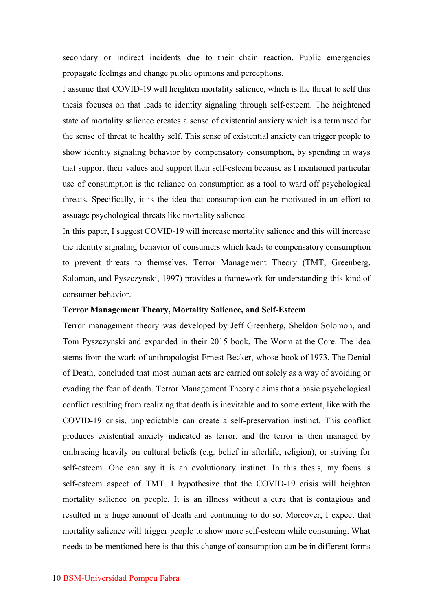secondary or indirect incidents due to their chain reaction. Public emergencies propagate feelings and change public opinions and perceptions.

I assume that COVID-19 will heighten mortality salience, which is the threat to self this thesis focuses on that leads to identity signaling through self-esteem. The heightened state of mortality salience creates a sense of existential anxiety which is a term used for the sense of threat to healthy self. This sense of existential anxiety can trigger people to show identity signaling behavior by compensatory consumption, by spending in ways that support their values and support their self-esteem because as I mentioned particular use of consumption is the reliance on consumption as a tool to ward off psychological threats. Specifically, it is the idea that consumption can be motivated in an effort to assuage psychological threats like mortality salience.

In this paper, I suggest COVID-19 will increase mortality salience and this will increase the identity signaling behavior of consumers which leads to compensatory consumption to prevent threats to themselves. Terror Management Theory (TMT; Greenberg, Solomon, and Pyszczynski, 1997) provides a framework for understanding this kind of consumer behavior.

#### **Terror Management Theory, Mortality Salience, and Self-Esteem**

Terror management theory was developed by Jeff Greenberg, Sheldon Solomon, and Tom Pyszczynski and expanded in their 2015 book, The Worm at the Core. The idea stems from the work of anthropologist Ernest Becker, whose book of 1973, The Denial of Death, concluded that most human acts are carried out solely as a way of avoiding or evading the fear of death. Terror Management Theory claims that a basic psychological conflict resulting from realizing that death is inevitable and to some extent, like with the COVID-19 crisis, unpredictable can create a self-preservation instinct. This conflict produces existential anxiety indicated as terror, and the terror is then managed by embracing heavily on cultural beliefs (e.g. belief in afterlife, religion), or striving for self-esteem. One can say it is an evolutionary instinct. In this thesis, my focus is self-esteem aspect of TMT. I hypothesize that the COVID-19 crisis will heighten mortality salience on people. It is an illness without a cure that is contagious and resulted in a huge amount of death and continuing to do so. Moreover, I expect that mortality salience will trigger people to show more self-esteem while consuming. What needs to be mentioned here is that this change of consumption can be in different forms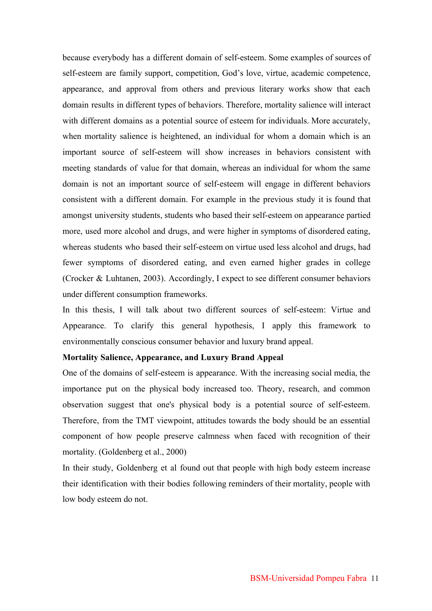because everybody has a different domain of self-esteem. Some examples of sources of self-esteem are family support, competition, God's love, virtue, academic competence, appearance, and approval from others and previous literary works show that each domain results in different types of behaviors. Therefore, mortality salience will interact with different domains as a potential source of esteem for individuals. More accurately, when mortality salience is heightened, an individual for whom a domain which is an important source of self-esteem will show increases in behaviors consistent with meeting standards of value for that domain, whereas an individual for whom the same domain is not an important source of self-esteem will engage in different behaviors consistent with a different domain. For example in the previous study it is found that amongst university students, students who based their self-esteem on appearance partied more, used more alcohol and drugs, and were higher in symptoms of disordered eating, whereas students who based their self-esteem on virtue used less alcohol and drugs, had fewer symptoms of disordered eating, and even earned higher grades in college (Crocker & Luhtanen, 2003). Accordingly, I expect to see different consumer behaviors under different consumption frameworks.

In this thesis, I will talk about two different sources of self-esteem: Virtue and Appearance. To clarify this general hypothesis, I apply this framework to environmentally conscious consumer behavior and luxury brand appeal.

#### **Mortality Salience, Appearance, and Luxury Brand Appeal**

One of the domains of self-esteem is appearance. With the increasing social media, the importance put on the physical body increased too. Theory, research, and common observation suggest that one's physical body is a potential source of self-esteem. Therefore, from the TMT viewpoint, attitudes towards the body should be an essential component of how people preserve calmness when faced with recognition of their mortality. (Goldenberg et al., 2000)

In their study, Goldenberg et al found out that people with high body esteem increase their identification with their bodies following reminders of their mortality, people with low body esteem do not.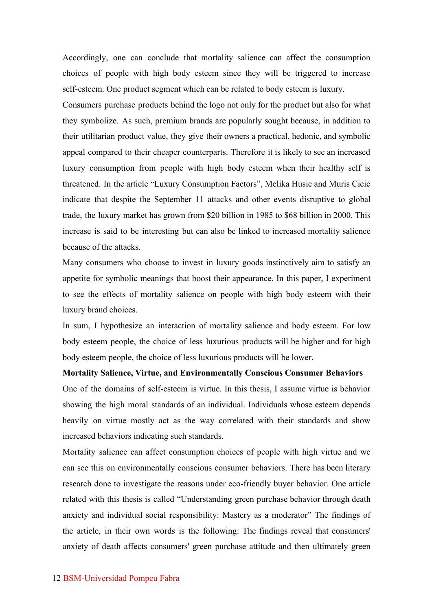Accordingly, one can conclude that mortality salience can affect the consumption choices of people with high body esteem since they will be triggered to increase self-esteem. One product segment which can be related to body esteem is luxury.

Consumers purchase products behind the logo not only for the product but also for what they symbolize. As such, premium brands are popularly sought because, in addition to their utilitarian product value, they give their owners a practical, hedonic, and symbolic appeal compared to their cheaper counterparts. Therefore it is likely to see an increased luxury consumption from people with high body esteem when their healthy self is threatened. In the article "Luxury Consumption Factors", Melika Husic and Muris Cicic indicate that despite the September 11 attacks and other events disruptive to global trade, the luxury market has grown from \$20 billion in 1985 to \$68 billion in 2000. This increase is said to be interesting but can also be linked to increased mortality salience because of the attacks.

Many consumers who choose to invest in luxury goods instinctively aim to satisfy an appetite for symbolic meanings that boost their appearance. In this paper, I experiment to see the effects of mortality salience on people with high body esteem with their luxury brand choices.

In sum, I hypothesize an interaction of mortality salience and body esteem. For low body esteem people, the choice of less luxurious products will be higher and for high body esteem people, the choice of less luxurious products will be lower.

**Mortality Salience, Virtue, and Environmentally Conscious Consumer Behaviors** One of the domains of self-esteem is virtue. In this thesis, I assume virtue is behavior showing the high moral standards of an individual. Individuals whose esteem depends heavily on virtue mostly act as the way correlated with their standards and show increased behaviors indicating such standards.

Mortality salience can affect consumption choices of people with high virtue and we can see this on environmentally conscious consumer behaviors. There has been literary research done to investigate the reasons under eco-friendly buyer behavior. One article related with this thesis is called "Understanding green purchase behavior through death anxiety and individual social responsibility: Mastery as a moderator" The findings of the article, in their own words is the following: The findings reveal that consumers' anxiety of death affects consumers' green purchase attitude and then ultimately green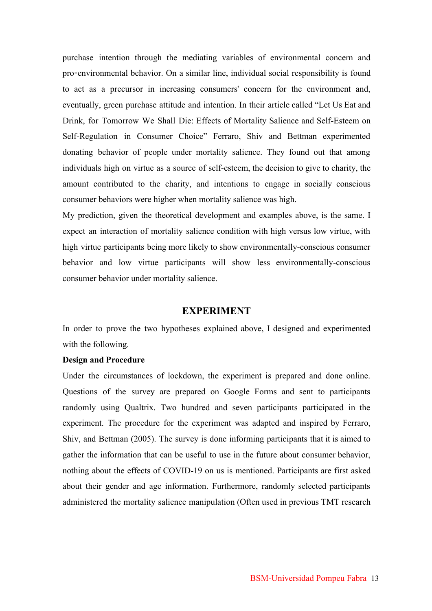purchase intention through the mediating variables of environmental concern and pro-environmental behavior. On a similar line, individual social responsibility is found to act as a precursor in increasing consumers' concern for the environment and, eventually, green purchase attitude and intention. In their article called "Let Us Eat and Drink, for Tomorrow We Shall Die: Effects of Mortality Salience and Self-Esteem on Self-Regulation in Consumer Choice" Ferraro, Shiv and Bettman experimented donating behavior of people under mortality salience. They found out that among individuals high on virtue as a source of self-esteem, the decision to give to charity, the amount contributed to the charity, and intentions to engage in socially conscious consumer behaviors were higher when mortality salience was high.

My prediction, given the theoretical development and examples above, is the same. I expect an interaction of mortality salience condition with high versus low virtue, with high virtue participants being more likely to show environmentally-conscious consumer behavior and low virtue participants will show less environmentally-conscious consumer behavior under mortality salience.

#### **EXPERIMENT**

In order to prove the two hypotheses explained above, I designed and experimented with the following.

#### **Design and Procedure**

Under the circumstances of lockdown, the experiment is prepared and done online. Questions of the survey are prepared on Google Forms and sent to participants randomly using Qualtrix. Two hundred and seven participants participated in the experiment. The procedure for the experiment was adapted and inspired by Ferraro, Shiv, and Bettman (2005). The survey is done informing participants that it is aimed to gather the information that can be useful to use in the future about consumer behavior, nothing about the effects of COVID-19 on us is mentioned. Participants are first asked about their gender and age information. Furthermore, randomly selected participants administered the mortality salience manipulation (Often used in previous TMT research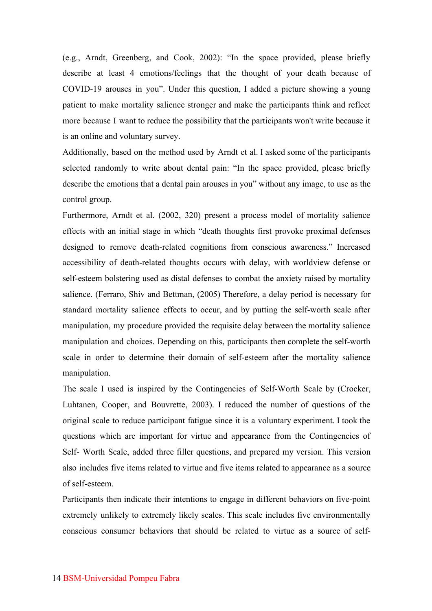(e.g., Arndt, Greenberg, and Cook, 2002): "In the space provided, please briefly describe at least 4 emotions/feelings that the thought of your death because of COVID-19 arouses in you". Under this question, I added a picture showing a young patient to make mortality salience stronger and make the participants think and reflect more because I want to reduce the possibility that the participants won't write because it is an online and voluntary survey.

Additionally, based on the method used by Arndt et al. I asked some of the participants selected randomly to write about dental pain: "In the space provided, please briefly describe the emotions that a dental pain arouses in you" without any image, to use as the control group.

Furthermore, Arndt et al. (2002, 320) present a process model of mortality salience effects with an initial stage in which "death thoughts first provoke proximal defenses designed to remove death-related cognitions from conscious awareness." Increased accessibility of death-related thoughts occurs with delay, with worldview defense or self-esteem bolstering used as distal defenses to combat the anxiety raised by mortality salience. (Ferraro, Shiv and Bettman, (2005) Therefore, a delay period is necessary for standard mortality salience effects to occur, and by putting the self-worth scale after manipulation, my procedure provided the requisite delay between the mortality salience manipulation and choices. Depending on this, participants then complete the self-worth scale in order to determine their domain of self-esteem after the mortality salience manipulation.

The scale I used is inspired by the Contingencies of Self-Worth Scale by (Crocker, Luhtanen, Cooper, and Bouvrette, 2003). I reduced the number of questions of the original scale to reduce participant fatigue since it is a voluntary experiment. I took the questions which are important for virtue and appearance from the Contingencies of Self- Worth Scale, added three filler questions, and prepared my version. This version also includes five items related to virtue and five items related to appearance as a source of self-esteem.

Participants then indicate their intentions to engage in different behaviors on five-point extremely unlikely to extremely likely scales. This scale includes five environmentally conscious consumer behaviors that should be related to virtue as a source of self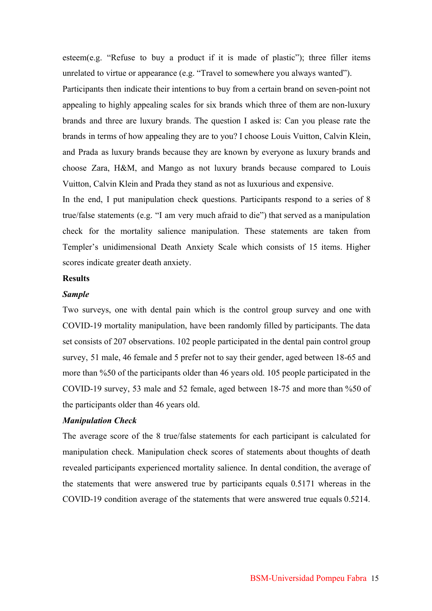esteem(e.g. "Refuse to buy a product if it is made of plastic"); three filler items unrelated to virtue or appearance (e.g. "Travel to somewhere you always wanted"). Participants then indicate their intentions to buy from a certain brand on seven-point not appealing to highly appealing scales for six brands which three of them are non-luxury brands and three are luxury brands. The question I asked is: Can you please rate the brands in terms of how appealing they are to you? I choose Louis Vuitton, Calvin Klein, and Prada as luxury brands because they are known by everyone as luxury brands and choose Zara, H&M, and Mango as not luxury brands because compared to Louis Vuitton, Calvin Klein and Prada they stand as not as luxurious and expensive.

In the end, I put manipulation check questions. Participants respond to a series of 8 true/false statements (e.g. "I am very much afraid to die") that served as a manipulation check for the mortality salience manipulation. These statements are taken from Templer's unidimensional Death Anxiety Scale which consists of 15 items. Higher scores indicate greater death anxiety.

#### **Results**

#### *Sample*

Two surveys, one with dental pain which is the control group survey and one with COVID-19 mortality manipulation, have been randomly filled by participants. The data set consists of 207 observations. 102 people participated in the dental pain control group survey, 51 male, 46 female and 5 prefer not to say their gender, aged between 18-65 and more than %50 of the participants older than 46 years old. 105 people participated in the COVID-19 survey, 53 male and 52 female, aged between 18-75 and more than %50 of the participants older than 46 years old.

#### *Manipulation Check*

The average score of the 8 true/false statements for each participant is calculated for manipulation check. Manipulation check scores of statements about thoughts of death revealed participants experienced mortality salience. In dental condition, the average of the statements that were answered true by participants equals 0.5171 whereas in the COVID-19 condition average of the statements that were answered true equals 0.5214.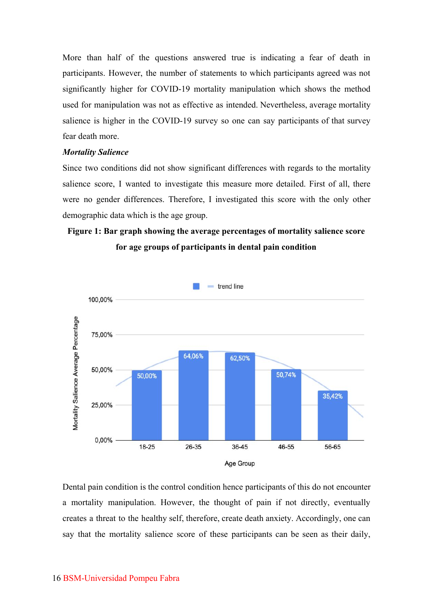More than half of the questions answered true is indicating a fear of death in participants. However, the number of statements to which participants agreed was not significantly higher for COVID-19 mortality manipulation which shows the method used for manipulation was not as effective as intended. Nevertheless, average mortality salience is higher in the COVID-19 survey so one can say participants of that survey fear death more.

#### *Mortality Salience*

Since two conditions did not show significant differences with regards to the mortality salience score, I wanted to investigate this measure more detailed. First of all, there were no gender differences. Therefore, I investigated this score with the only other demographic data which is the age group.

## **Figure 1: Bar graph showing the average percentages of mortality salience score for age groups of participants in dental pain condition**



Dental pain condition is the control condition hence participants of this do not encounter a mortality manipulation. However, the thought of pain if not directly, eventually creates a threat to the healthy self, therefore, create death anxiety. Accordingly, one can say that the mortality salience score of these participants can be seen as their daily,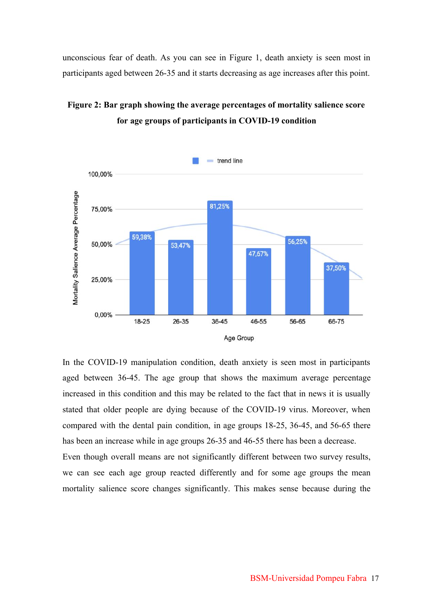unconscious fear of death. As you can see in Figure 1, death anxiety is seen most in participants aged between 26-35 and it starts decreasing as age increases after this point.





In the COVID-19 manipulation condition, death anxiety is seen most in participants aged between 36-45. The age group that shows the maximum average percentage increased in this condition and this may be related to the fact that in news it is usually stated that older people are dying because of the COVID-19 virus. Moreover, when compared with the dental pain condition, in age groups 18-25, 36-45, and 56-65 there has been an increase while in age groups 26-35 and 46-55 there has been a decrease.

Even though overall means are not significantly different between two survey results, we can see each age group reacted differently and for some age groups the mean mortality salience score changes significantly. This makes sense because during the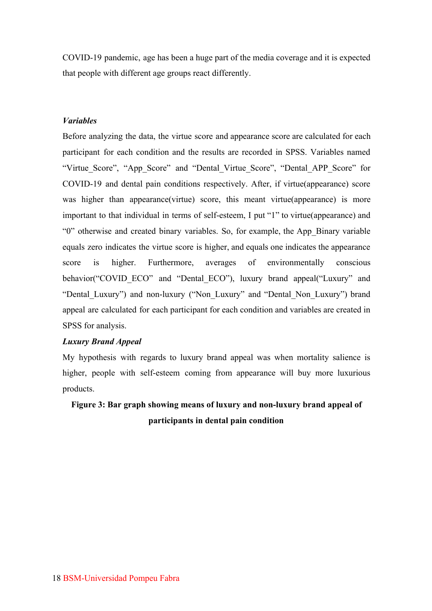COVID-19 pandemic, age has been a huge part of the media coverage and it is expected that people with different age groups react differently.

#### *Variables*

Before analyzing the data, the virtue score and appearance score are calculated for each participant for each condition and the results are recorded in SPSS. Variables named "Virtue Score", "App\_Score" and "Dental\_Virtue Score", "Dental\_APP\_Score" for COVID-19 and dental pain conditions respectively. After, if virtue(appearance) score was higher than appearance(virtue) score, this meant virtue(appearance) is more important to that individual in terms of self-esteem, I put "1" to virtue(appearance) and "0" otherwise and created binary variables. So, for example, the App\_Binary variable equals zero indicates the virtue score is higher, and equals one indicates the appearance score is higher. Furthermore, averages of environmentally conscious behavior("COVID ECO" and "Dental ECO"), luxury brand appeal("Luxury" and "Dental\_Luxury") and non-luxury ("Non\_Luxury" and "Dental\_Non\_Luxury") brand appeal are calculated for each participant for each condition and variables are created in SPSS for analysis.

#### *Luxury Brand Appeal*

My hypothesis with regards to luxury brand appeal was when mortality salience is higher, people with self-esteem coming from appearance will buy more luxurious products.

## **Figure 3: Bar graph showing means of luxury and non-luxury brand appeal of participants in dental pain condition**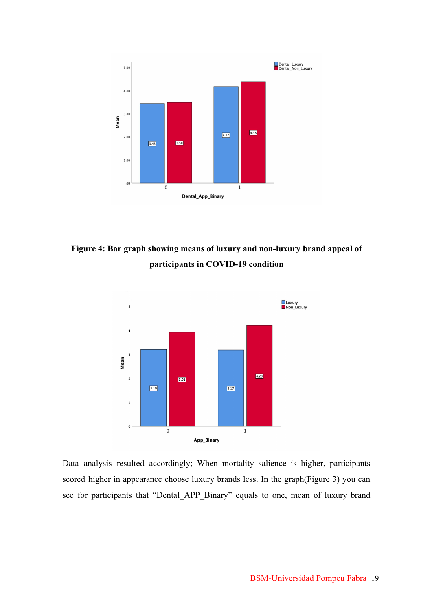

**Figure 4: Bar graph showing means of luxury and non-luxury brand appeal of participants in COVID-19 condition**



Data analysis resulted accordingly; When mortality salience is higher, participants scored higher in appearance choose luxury brands less. In the graph(Figure 3) you can see for participants that "Dental\_APP\_Binary" equals to one, mean of luxury brand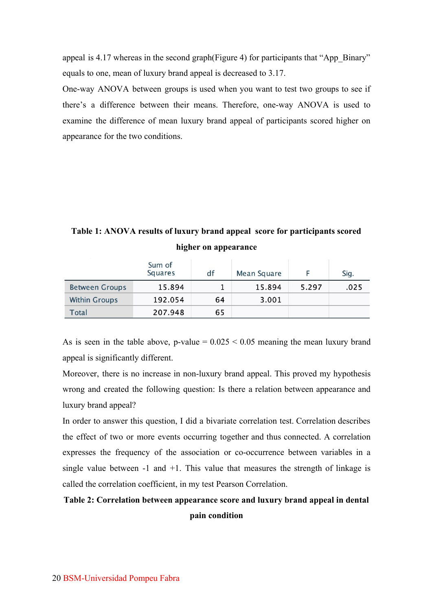appeal is 4.17 whereas in the second graph(Figure 4) for participants that "App\_Binary" equals to one, mean of luxury brand appeal is decreased to 3.17.

One-way ANOVA between groups is used when you want to test two groups to see if there's a difference between their means. Therefore, one-way ANOVA is used to examine the difference of mean luxury brand appeal of participants scored higher on appearance for the two conditions.

## **Table 1: ANOVA results of luxury brand appeal score for participants scored higher on appearance**

|                       | Sum of<br><b>Squares</b> | df | <b>Mean Square</b> |       | Sig. |
|-----------------------|--------------------------|----|--------------------|-------|------|
| <b>Between Groups</b> | 15.894                   |    | 15.894             | 5.297 | .025 |
| <b>Within Groups</b>  | 192.054                  | 64 | 3.001              |       |      |
| Total                 | 207.948                  | 65 |                    |       |      |

As is seen in the table above, p-value  $= 0.025 \le 0.05$  meaning the mean luxury brand appeal is significantly different.

Moreover, there is no increase in non-luxury brand appeal. This proved my hypothesis wrong and created the following question: Is there a relation between appearance and luxury brand appeal?

In order to answer this question, I did a bivariate correlation test. Correlation describes the effect of two or more events occurring together and thus connected. A correlation expresses the frequency of the association or co-occurrence between variables in a single value between  $-1$  and  $+1$ . This value that measures the strength of linkage is called the correlation coefficient, in my test Pearson Correlation.

## **Table 2: Correlation between appearance score and luxury brand appeal in dental pain condition**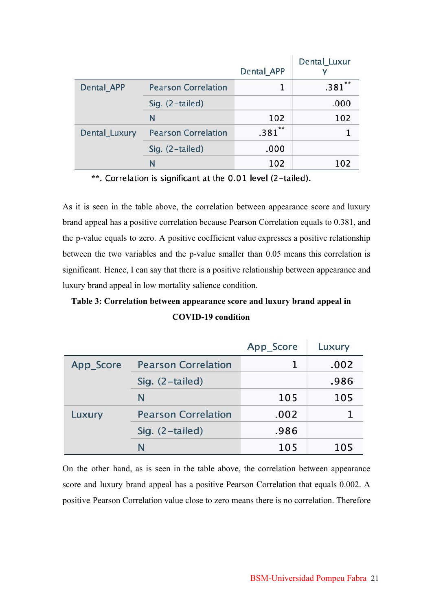|               |                            | Dental_APP | Dental Luxur |
|---------------|----------------------------|------------|--------------|
| Dental APP    | <b>Pearson Correlation</b> |            | **<br>.381   |
|               | Sig. (2-tailed)            |            | .000         |
|               | N                          | 102        | 102          |
| Dental_Luxury | <b>Pearson Correlation</b> | $.381***$  |              |
|               | Sig. $(2-tailed)$          | .000       |              |
|               | N                          | 102        | 102          |

\*\*. Correlation is significant at the 0.01 level (2-tailed).

As it is seen in the table above, the correlation between appearance score and luxury brand appeal has a positive correlation because Pearson Correlation equals to 0.381, and the p-value equals to zero. A positive coefficient value expresses a positive relationship between the two variables and the p-value smaller than 0.05 means this correlation is significant. Hence, I can say that there is a positive relationship between appearance and luxury brand appeal in low mortality salience condition.

## **Table 3: Correlation between appearance score and luxury brand appeal in COVID-19 condition**

|           |                            | App_Score | Luxury |
|-----------|----------------------------|-----------|--------|
| App_Score | <b>Pearson Correlation</b> |           | .002   |
|           | Sig. $(2-tailed)$          |           | .986   |
|           | N                          | 105       | 105    |
| Luxury    | <b>Pearson Correlation</b> | .002      |        |
|           | Sig. (2-tailed)            | .986      |        |
|           | N                          | 105       | 105    |

On the other hand, as is seen in the table above, the correlation between appearance score and luxury brand appeal has a positive Pearson Correlation that equals 0.002. A positive Pearson Correlation value close to zero means there is no correlation. Therefore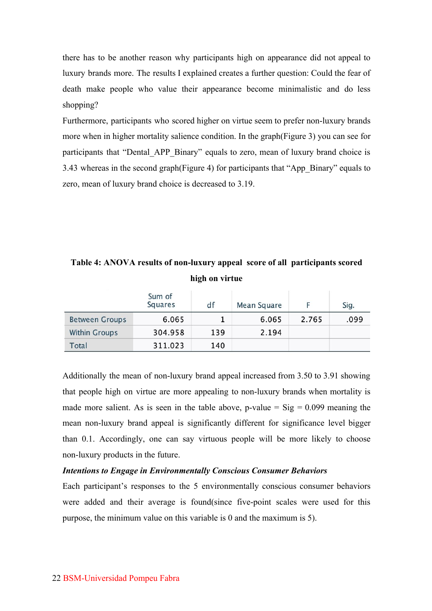there has to be another reason why participants high on appearance did not appeal to luxury brands more. The results I explained creates a further question: Could the fear of death make people who value their appearance become minimalistic and do less shopping?

Furthermore, participants who scored higher on virtue seem to prefer non-luxury brands more when in higher mortality salience condition. In the graph(Figure 3) you can see for participants that "Dental\_APP\_Binary" equals to zero, mean of luxury brand choice is 3.43 whereas in the second graph(Figure 4) for participants that "App\_Binary" equals to zero, mean of luxury brand choice is decreased to 3.19.

**Table 4: ANOVA results of non-luxury appeal score of all participants scored high on virtue**

|                       | Sum of<br><b>Squares</b> | df  | Mean Square |       | Sig. |
|-----------------------|--------------------------|-----|-------------|-------|------|
| <b>Between Groups</b> | 6.065                    |     | 6.065       | 2.765 | .099 |
| <b>Within Groups</b>  | 304.958                  | 139 | 2.194       |       |      |
| Total                 | 311.023                  | 140 |             |       |      |

Additionally the mean of non-luxury brand appeal increased from 3.50 to 3.91 showing that people high on virtue are more appealing to non-luxury brands when mortality is made more salient. As is seen in the table above, p-value  $=$  Sig  $=$  0.099 meaning the mean non-luxury brand appeal is significantly different for significance level bigger than 0.1. Accordingly, one can say virtuous people will be more likely to choose non-luxury products in the future.

#### *Intentions to Engage in Environmentally Conscious Consumer Behaviors*

Each participant's responses to the 5 environmentally conscious consumer behaviors were added and their average is found(since five-point scales were used for this purpose, the minimum value on this variable is 0 and the maximum is 5).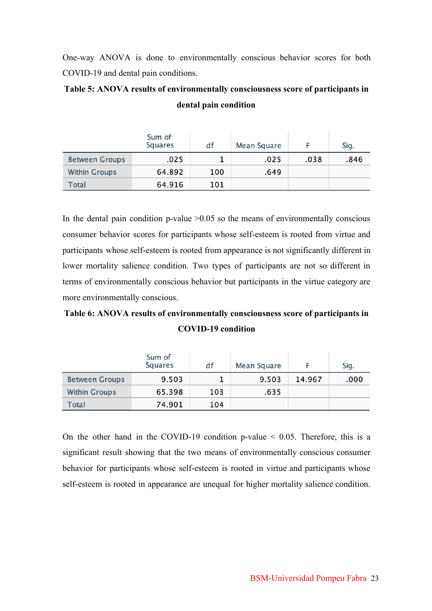One-way ANOVA is done to environmentally conscious behavior scores for both COVID-19 and dental pain conditions.

|                       | Sum of<br>Squares | df  | <b>Mean Square</b> |      | Sig. |
|-----------------------|-------------------|-----|--------------------|------|------|
| <b>Between Groups</b> | .025              |     | .025               | .038 | .846 |
| <b>Within Groups</b>  | 64.892            | 100 | .649               |      |      |
| Total                 | 64.916            | 101 |                    |      |      |

## **Table 5: ANOVA results of environmentally consciousness score of participants in dental pain condition**

In the dental pain condition p-value  $>0.05$  so the means of environmentally conscious consumer behavior scores for participants whose self-esteem is rooted from virtue and participants whose self-esteem is rooted from appearance is not significantly different in lower mortality salience condition. Two types of participants are not so different in terms of environmentally conscious behavior but participants in the virtue category are more environmentally conscious.

## **Table 6: ANOVA results of environmentally consciousness score of participants in COVID-19 condition**

|                       | Sum of<br>Squares | df  | Mean Square |        | Sig. |
|-----------------------|-------------------|-----|-------------|--------|------|
| <b>Between Groups</b> | 9.503             |     | 9.503       | 14.967 | .000 |
| <b>Within Groups</b>  | 65.398            | 103 | .635        |        |      |
| Total                 | 74.901            | 104 |             |        |      |

On the other hand in the COVID-19 condition p-value  $\leq 0.05$ . Therefore, this is a significant result showing that the two means of environmentally conscious consumer behavior for participants whose self-esteem is rooted in virtue and participants whose self-esteem is rooted in appearance are unequal for higher mortality salience condition.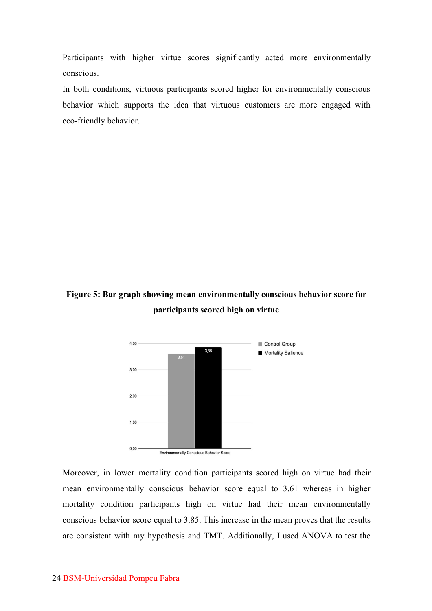Participants with higher virtue scores significantly acted more environmentally conscious.

In both conditions, virtuous participants scored higher for environmentally conscious behavior which supports the idea that virtuous customers are more engaged with eco-friendly behavior.

## **Figure 5: Bar graph showing mean environmentally conscious behavior score for participants scored high on virtue**



Moreover, in lower mortality condition participants scored high on virtue had their mean environmentally conscious behavior score equal to 3.61 whereas in higher mortality condition participants high on virtue had their mean environmentally conscious behavior score equal to 3.85. This increase in the mean proves that the results are consistent with my hypothesis and TMT. Additionally, I used ANOVA to test the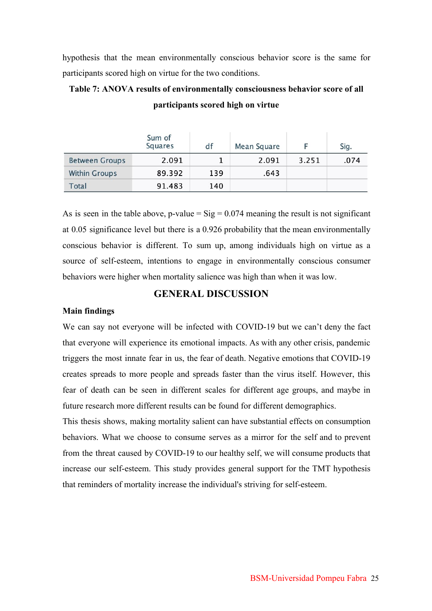hypothesis that the mean environmentally conscious behavior score is the same for participants scored high on virtue for the two conditions.

#### **Table 7: ANOVA results of environmentally consciousness behavior score of all**

|                       | Sum of<br>Squares | df  | Mean Square |       | Sig. |
|-----------------------|-------------------|-----|-------------|-------|------|
| <b>Between Groups</b> | 2.091             |     | 2.091       | 3.251 | .074 |
| <b>Within Groups</b>  | 89.392            | 139 | .643        |       |      |
| Total                 | 91.483            | 140 |             |       |      |

**participants scored high on virtue**

As is seen in the table above, p-value =  $\text{Sig} = 0.074$  meaning the result is not significant at 0.05 significance level but there is a 0.926 probability that the mean environmentally conscious behavior is different. To sum up, among individuals high on virtue as a source of self-esteem, intentions to engage in environmentally conscious consumer behaviors were higher when mortality salience was high than when it was low.

#### **GENERAL DISCUSSION**

#### **Main findings**

We can say not everyone will be infected with COVID-19 but we can't deny the fact that everyone will experience its emotional impacts. As with any other crisis, pandemic triggers the most innate fear in us, the fear of death. Negative emotions that COVID-19 creates spreads to more people and spreads faster than the virus itself. However, this fear of death can be seen in different scales for different age groups, and maybe in future research more different results can be found for different demographics.

This thesis shows, making mortality salient can have substantial effects on consumption behaviors. What we choose to consume serves as a mirror for the self and to prevent from the threat caused by COVID-19 to our healthy self, we will consume products that increase our self-esteem. This study provides general support for the TMT hypothesis that reminders of mortality increase the individual's striving for self-esteem.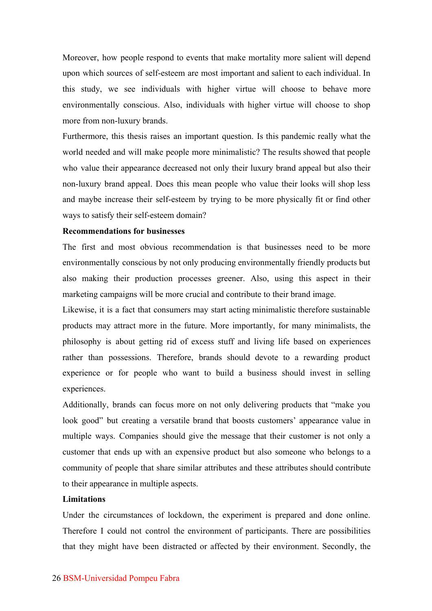Moreover, how people respond to events that make mortality more salient will depend upon which sources of self-esteem are most important and salient to each individual. In this study, we see individuals with higher virtue will choose to behave more environmentally conscious. Also, individuals with higher virtue will choose to shop more from non-luxury brands.

Furthermore, this thesis raises an important question. Is this pandemic really what the world needed and will make people more minimalistic? The results showed that people who value their appearance decreased not only their luxury brand appeal but also their non-luxury brand appeal. Does this mean people who value their looks will shop less and maybe increase their self-esteem by trying to be more physically fit or find other ways to satisfy their self-esteem domain?

#### **Recommendations for businesses**

The first and most obvious recommendation is that businesses need to be more environmentally conscious by not only producing environmentally friendly products but also making their production processes greener. Also, using this aspect in their marketing campaigns will be more crucial and contribute to their brand image.

Likewise, it is a fact that consumers may start acting minimalistic therefore sustainable products may attract more in the future. More importantly, for many minimalists, the philosophy is about getting rid of excess stuff and living life based on experiences rather than possessions. Therefore, brands should devote to a rewarding product experience or for people who want to build a business should invest in selling experiences.

Additionally, brands can focus more on not only delivering products that "make you look good" but creating a versatile brand that boosts customers' appearance value in multiple ways. Companies should give the message that their customer is not only a customer that ends up with an expensive product but also someone who belongs to a community of people that share similar attributes and these attributes should contribute to their appearance in multiple aspects.

#### **Limitations**

Under the circumstances of lockdown, the experiment is prepared and done online. Therefore I could not control the environment of participants. There are possibilities that they might have been distracted or affected by their environment. Secondly, the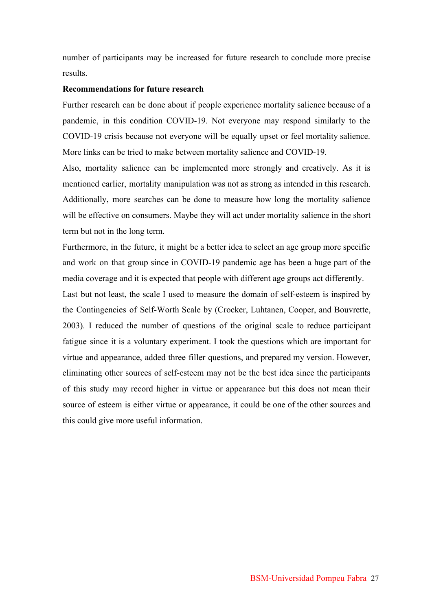number of participants may be increased for future research to conclude more precise results.

#### **Recommendations for future research**

Further research can be done about if people experience mortality salience because of a pandemic, in this condition COVID-19. Not everyone may respond similarly to the COVID-19 crisis because not everyone will be equally upset or feel mortality salience. More links can be tried to make between mortality salience and COVID-19.

Also, mortality salience can be implemented more strongly and creatively. As it is mentioned earlier, mortality manipulation was not as strong as intended in this research. Additionally, more searches can be done to measure how long the mortality salience will be effective on consumers. Maybe they will act under mortality salience in the short term but not in the long term.

Furthermore, in the future, it might be a better idea to select an age group more specific and work on that group since in COVID-19 pandemic age has been a huge part of the media coverage and it is expected that people with different age groups act differently.

Last but not least, the scale I used to measure the domain of self-esteem is inspired by the Contingencies of Self-Worth Scale by (Crocker, Luhtanen, Cooper, and Bouvrette, 2003). I reduced the number of questions of the original scale to reduce participant fatigue since it is a voluntary experiment. I took the questions which are important for virtue and appearance, added three filler questions, and prepared my version. However, eliminating other sources of self-esteem may not be the best idea since the participants of this study may record higher in virtue or appearance but this does not mean their source of esteem is either virtue or appearance, it could be one of the other sources and this could give more useful information.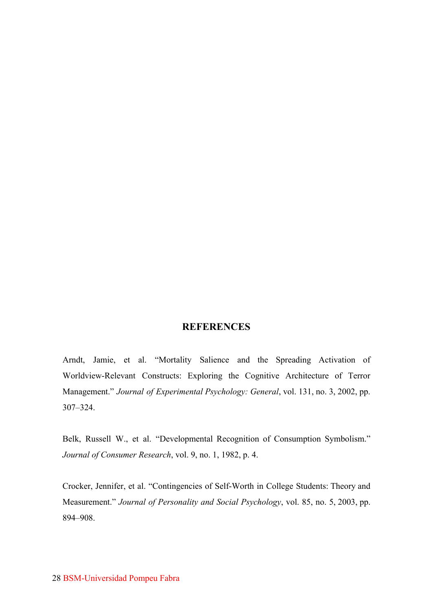#### **REFERENCES**

Arndt, Jamie, et al. "Mortality Salience and the Spreading Activation of Worldview-Relevant Constructs: Exploring the Cognitive Architecture of Terror Management." *Journal of Experimental Psychology: General*, vol. 131, no. 3, 2002, pp. 307–324.

Belk, Russell W., et al. "Developmental Recognition of Consumption Symbolism." *Journal of Consumer Research*, vol. 9, no. 1, 1982, p. 4.

Crocker, Jennifer, et al. "Contingencies of Self-Worth in College Students: Theory and Measurement." *Journal of Personality and Social Psychology*, vol. 85, no. 5, 2003, pp. 894–908.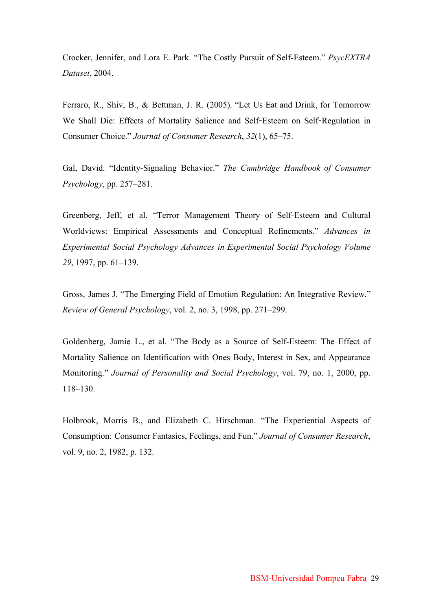Crocker, Jennifer, and Lora E. Park. "The Costly Pursuit of Self-Esteem." *PsycEXTRA Dataset*, 2004.

Ferraro, R., Shiv, B., & Bettman, J. R. (2005). "Let Us Eat and Drink, for Tomorrow We Shall Die: Effects of Mortality Salience and Self-Esteem on Self-Regulation in Consumer Choice." *Journal of Consumer Research*, *32*(1), 65–75.

Gal, David. "Identity-Signaling Behavior." *The Cambridge Handbook of Consumer Psychology*, pp. 257–281.

Greenberg, Jeff, et al. "Terror Management Theory of Self-Esteem and Cultural Worldviews: Empirical Assessments and Conceptual Refinements." *Advances in Experimental Social Psychology Advances in Experimental Social Psychology Volume 29*, 1997, pp. 61–139.

Gross, James J. "The Emerging Field of Emotion Regulation: An Integrative Review." *Review of General Psychology*, vol. 2, no. 3, 1998, pp. 271–299.

Goldenberg, Jamie L., et al. "The Body as a Source of Self-Esteem: The Effect of Mortality Salience on Identification with Ones Body, Interest in Sex, and Appearance Monitoring." *Journal of Personality and Social Psychology*, vol. 79, no. 1, 2000, pp. 118–130.

Holbrook, Morris B., and Elizabeth C. Hirschman. "The Experiential Aspects of Consumption: Consumer Fantasies, Feelings, and Fun." *Journal of Consumer Research*, vol. 9, no. 2, 1982, p. 132.